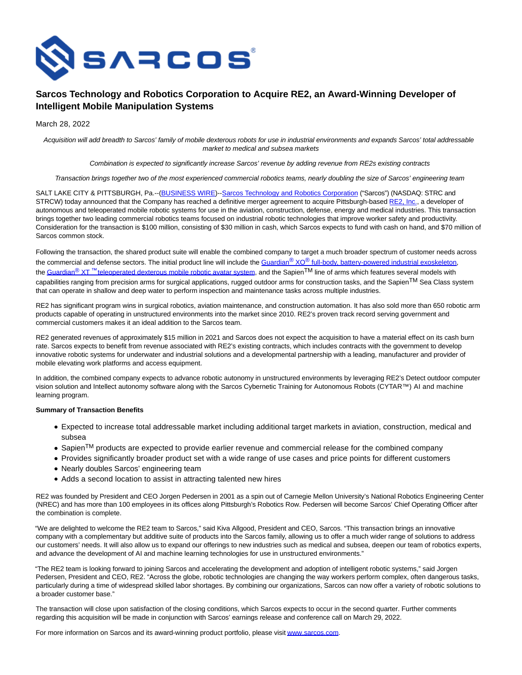

# **Sarcos Technology and Robotics Corporation to Acquire RE2, an Award-Winning Developer of Intelligent Mobile Manipulation Systems**

March 28, 2022

Acquisition will add breadth to Sarcos' family of mobile dexterous robots for use in industrial environments and expands Sarcos' total addressable market to medical and subsea markets

Combination is expected to significantly increase Sarcos' revenue by adding revenue from RE2s existing contracts

Transaction brings together two of the most experienced commercial robotics teams, nearly doubling the size of Sarcos' engineering team

SALT LAKE CITY & PITTSBURGH, Pa.--[\(BUSINESS WIRE\)-](https://www.businesswire.com/)[-Sarcos Technology and Robotics Corporation \(](https://cts.businesswire.com/ct/CT?id=smartlink&url=http%3A%2F%2Fwww.sarcos.com%2F&esheet=52625197&newsitemid=20220328005278&lan=en-US&anchor=Sarcos+Technology+and+Robotics+Corporation&index=1&md5=a34595b6b8501e51d6b9e589f1a58f86)"Sarcos") (NASDAQ: STRC and STRCW) today announced that the Company has reached a definitive merger agreement to acquire Pittsburgh-based [RE2, Inc.,](https://cts.businesswire.com/ct/CT?id=smartlink&url=https%3A%2F%2Fwww.resquared.com%2F&esheet=52625197&newsitemid=20220328005278&lan=en-US&anchor=RE2%2C+Inc.&index=2&md5=1fb365cf1501a0cc507b1691dd53cfbc) a developer of autonomous and teleoperated mobile robotic systems for use in the aviation, construction, defense, energy and medical industries. This transaction brings together two leading commercial robotics teams focused on industrial robotic technologies that improve worker safety and productivity. Consideration for the transaction is \$100 million, consisting of \$30 million in cash, which Sarcos expects to fund with cash on hand, and \$70 million of Sarcos common stock.

Following the transaction, the shared product suite will enable the combined company to target a much broader spectrum of customer needs across the commercial and defense sectors. The initial product line will include the Guardian<sup>®</sup> XO® [full-body, battery-powered industrial exoskeleton,](https://cts.businesswire.com/ct/CT?id=smartlink&url=https%3A%2F%2Fwww.sarcos.com%2Fproducts%2Fguardian-xo-powered-exoskeleton%2F&esheet=52625197&newsitemid=20220328005278&lan=en-US&anchor=Guardian%26%23174%3B+XO%26%23174%3B+full-body%2C+battery-powered+industrial+exoskeleton&index=3&md5=7fa36755b096d74d7a2fcfef9c486d9d) the Guardian<sup>®</sup> XT ™ [teleoperated dexterous mobile robotic avatar system,](https://cts.businesswire.com/ct/CT?id=smartlink&url=https%3A%2F%2Fwww.sarcos.com%2Fproducts%2Fguardian-xt%2F&esheet=52625197&newsitemid=20220328005278&lan=en-US&anchor=Guardian%26%23174%3B+XT%26%238482%3B+teleoperated+dexterous+mobile+robotic+avatar+system&index=4&md5=3d3aa09b4fb0381bf99119482d6eebae) and the Sapien<sup>TM</sup> line of arms which features several models with capabilities ranging from precision arms for surgical applications, rugged outdoor arms for construction tasks, and the Sapien<sup>TM</sup> Sea Class system that can operate in shallow and deep water to perform inspection and maintenance tasks across multiple industries.

RE2 has significant program wins in surgical robotics, aviation maintenance, and construction automation. It has also sold more than 650 robotic arm products capable of operating in unstructured environments into the market since 2010. RE2's proven track record serving government and commercial customers makes it an ideal addition to the Sarcos team.

RE2 generated revenues of approximately \$15 million in 2021 and Sarcos does not expect the acquisition to have a material effect on its cash burn rate. Sarcos expects to benefit from revenue associated with RE2's existing contracts, which includes contracts with the government to develop innovative robotic systems for underwater and industrial solutions and a developmental partnership with a leading, manufacturer and provider of mobile elevating work platforms and access equipment.

In addition, the combined company expects to advance robotic autonomy in unstructured environments by leveraging RE2's Detect outdoor computer vision solution and Intellect autonomy software along with the Sarcos Cybernetic Training for Autonomous Robots (CYTAR™) AI and machine learning program.

## **Summary of Transaction Benefits**

- Expected to increase total addressable market including additional target markets in aviation, construction, medical and subsea
- $\bullet$  Sapien<sup>TM</sup> products are expected to provide earlier revenue and commercial release for the combined company
- Provides significantly broader product set with a wide range of use cases and price points for different customers
- Nearly doubles Sarcos' engineering team
- Adds a second location to assist in attracting talented new hires

RE2 was founded by President and CEO Jorgen Pedersen in 2001 as a spin out of Carnegie Mellon University's National Robotics Engineering Center (NREC) and has more than 100 employees in its offices along Pittsburgh's Robotics Row. Pedersen will become Sarcos' Chief Operating Officer after the combination is complete.

"We are delighted to welcome the RE2 team to Sarcos," said Kiva Allgood, President and CEO, Sarcos. "This transaction brings an innovative company with a complementary but additive suite of products into the Sarcos family, allowing us to offer a much wider range of solutions to address our customers' needs. It will also allow us to expand our offerings to new industries such as medical and subsea, deepen our team of robotics experts, and advance the development of AI and machine learning technologies for use in unstructured environments."

"The RE2 team is looking forward to joining Sarcos and accelerating the development and adoption of intelligent robotic systems," said Jorgen Pedersen, President and CEO, RE2. "Across the globe, robotic technologies are changing the way workers perform complex, often dangerous tasks, particularly during a time of widespread skilled labor shortages. By combining our organizations, Sarcos can now offer a variety of robotic solutions to a broader customer base."

The transaction will close upon satisfaction of the closing conditions, which Sarcos expects to occur in the second quarter. Further comments regarding this acquisition will be made in conjunction with Sarcos' earnings release and conference call on March 29, 2022.

For more information on Sarcos and its award-winning product portfolio, please visi[t www.sarcos.com.](https://cts.businesswire.com/ct/CT?id=smartlink&url=http%3A%2F%2Fwww.sarcos.com&esheet=52625197&newsitemid=20220328005278&lan=en-US&anchor=www.sarcos.com&index=5&md5=11cd99fe74346bedf273a156a7881f06)